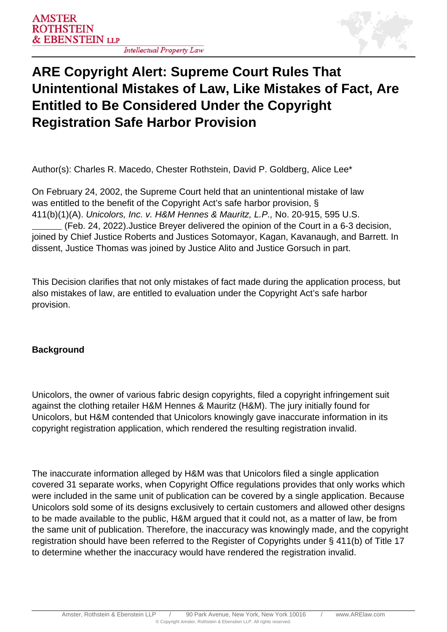**Intellectual Property Law** 



# **ARE Copyright Alert: Supreme Court Rules That Unintentional Mistakes of Law, Like Mistakes of Fact, Are Entitled to Be Considered Under the Copyright Registration Safe Harbor Provision**

Author(s): Charles R. Macedo, Chester Rothstein, David P. Goldberg, Alice Lee\*

On February 24, 2002, the Supreme Court held that an unintentional mistake of law was entitled to the benefit of the Copyright Act's safe harbor provision, § 411(b)(1)(A). Unicolors, Inc. v. H&M Hennes & Mauritz, L.P., No. 20-915, 595 U.S. (Feb. 24, 2022).Justice Breyer delivered the opinion of the Court in a 6-3 decision, joined by Chief Justice Roberts and Justices Sotomayor, Kagan, Kavanaugh, and Barrett. In dissent, Justice Thomas was joined by Justice Alito and Justice Gorsuch in part.

This Decision clarifies that not only mistakes of fact made during the application process, but also mistakes of law, are entitled to evaluation under the Copyright Act's safe harbor provision.

### **Background**

Unicolors, the owner of various fabric design copyrights, filed a copyright infringement suit against the clothing retailer H&M Hennes & Mauritz (H&M). The jury initially found for Unicolors, but H&M contended that Unicolors knowingly gave inaccurate information in its copyright registration application, which rendered the resulting registration invalid.

The inaccurate information alleged by H&M was that Unicolors filed a single application covered 31 separate works, when Copyright Office regulations provides that only works which were included in the same unit of publication can be covered by a single application. Because Unicolors sold some of its designs exclusively to certain customers and allowed other designs to be made available to the public, H&M argued that it could not, as a matter of law, be from the same unit of publication. Therefore, the inaccuracy was knowingly made, and the copyright registration should have been referred to the Register of Copyrights under § 411(b) of Title 17 to determine whether the inaccuracy would have rendered the registration invalid.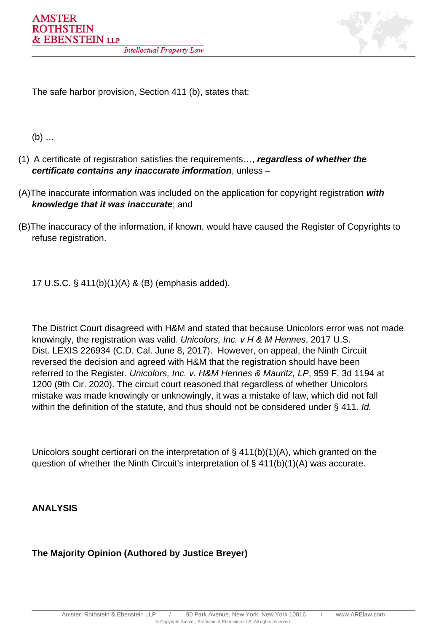

The safe harbor provision, Section 411 (b), states that:

(b) …

- (1) A certificate of registration satisfies the requirements…, **regardless of whether the certificate contains any inaccurate information**, unless –
- (A)The inaccurate information was included on the application for copyright registration **with knowledge that it was inaccurate**; and
- (B)The inaccuracy of the information, if known, would have caused the Register of Copyrights to refuse registration.

17 U.S.C. § 411(b)(1)(A) & (B) (emphasis added).

The District Court disagreed with H&M and stated that because Unicolors error was not made knowingly, the registration was valid. Unicolors, Inc. v H & M Hennes, 2017 U.S. Dist. LEXIS 226934 (C.D. Cal. June 8, 2017). However, on appeal, the Ninth Circuit reversed the decision and agreed with H&M that the registration should have been referred to the Register. Unicolors, Inc. v. H&M Hennes & Mauritz, LP, 959 F. 3d 1194 at 1200 (9th Cir. 2020). The circuit court reasoned that regardless of whether Unicolors mistake was made knowingly or unknowingly, it was a mistake of law, which did not fall within the definition of the statute, and thus should not be considered under § 411. Id.

Unicolors sought certiorari on the interpretation of § 411(b)(1)(A), which granted on the question of whether the Ninth Circuit's interpretation of § 411(b)(1)(A) was accurate.

**ANALYSIS**

### **The Majority Opinion (Authored by Justice Breyer)**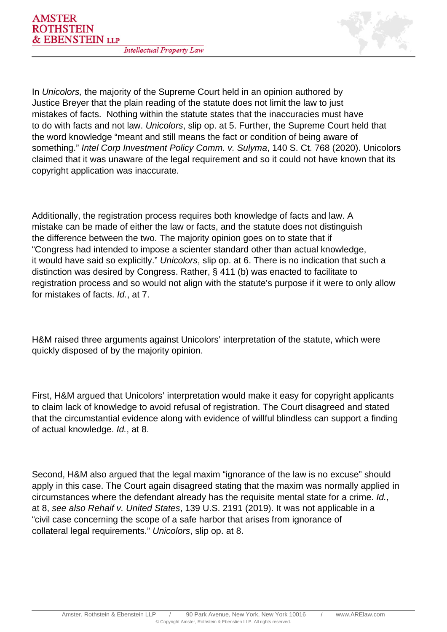

In Unicolors, the majority of the Supreme Court held in an opinion authored by Justice Breyer that the plain reading of the statute does not limit the law to just mistakes of facts. Nothing within the statute states that the inaccuracies must have to do with facts and not law. Unicolors, slip op. at 5. Further, the Supreme Court held that the word knowledge "meant and still means the fact or condition of being aware of something." Intel Corp Investment Policy Comm. v. Sulyma, 140 S. Ct. 768 (2020). Unicolors claimed that it was unaware of the legal requirement and so it could not have known that its copyright application was inaccurate.

Additionally, the registration process requires both knowledge of facts and law. A mistake can be made of either the law or facts, and the statute does not distinguish the difference between the two. The majority opinion goes on to state that if "Congress had intended to impose a scienter standard other than actual knowledge, it would have said so explicitly." Unicolors, slip op. at 6. There is no indication that such a distinction was desired by Congress. Rather, § 411 (b) was enacted to facilitate to registration process and so would not align with the statute's purpose if it were to only allow for mistakes of facts. Id., at 7.

H&M raised three arguments against Unicolors' interpretation of the statute, which were quickly disposed of by the majority opinion.

First, H&M argued that Unicolors' interpretation would make it easy for copyright applicants to claim lack of knowledge to avoid refusal of registration. The Court disagreed and stated that the circumstantial evidence along with evidence of willful blindless can support a finding of actual knowledge. Id., at 8.

Second, H&M also argued that the legal maxim "ignorance of the law is no excuse" should apply in this case. The Court again disagreed stating that the maxim was normally applied in circumstances where the defendant already has the requisite mental state for a crime. Id., at 8, see also Rehaif v. United States, 139 U.S. 2191 (2019). It was not applicable in a "civil case concerning the scope of a safe harbor that arises from ignorance of collateral legal requirements." Unicolors, slip op. at 8.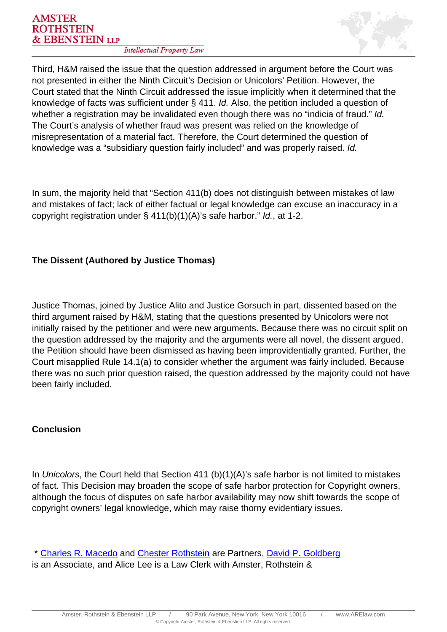

Third, H&M raised the issue that the question addressed in argument before the Court was not presented in either the Ninth Circuit's Decision or Unicolors' Petition. However, the Court stated that the Ninth Circuit addressed the issue implicitly when it determined that the knowledge of facts was sufficient under § 411. Id. Also, the petition included a question of whether a registration may be invalidated even though there was no "indicia of fraud." Id. The Court's analysis of whether fraud was present was relied on the knowledge of misrepresentation of a material fact. Therefore, the Court determined the question of knowledge was a "subsidiary question fairly included" and was properly raised. Id.

In sum, the majority held that "Section 411(b) does not distinguish between mistakes of law and mistakes of fact; lack of either factual or legal knowledge can excuse an inaccuracy in a copyright registration under § 411(b)(1)(A)'s safe harbor." Id., at 1-2.

## **The Dissent (Authored by Justice Thomas)**

Justice Thomas, joined by Justice Alito and Justice Gorsuch in part, dissented based on the third argument raised by H&M, stating that the questions presented by Unicolors were not initially raised by the petitioner and were new arguments. Because there was no circuit split on the question addressed by the majority and the arguments were all novel, the dissent argued, the Petition should have been dismissed as having been improvidentially granted. Further, the Court misapplied Rule 14.1(a) to consider whether the argument was fairly included. Because there was no such prior question raised, the question addressed by the majority could not have been fairly included.

### **Conclusion**

In Unicolors, the Court held that Section 411 (b)(1)(A)'s safe harbor is not limited to mistakes of fact. This Decision may broaden the scope of safe harbor protection for Copyright owners, although the focus of disputes on safe harbor availability may now shift towards the scope of copyright owners' legal knowledge, which may raise thorny evidentiary issues.

 \* [Charles R. Macedo](https://www.arelaw.com/professional/cmacedo/) and Chester Rothstein are Partners, David P. Goldberg is an Associate, and Alice Lee is a Law Clerk with Amster, Rothstein &